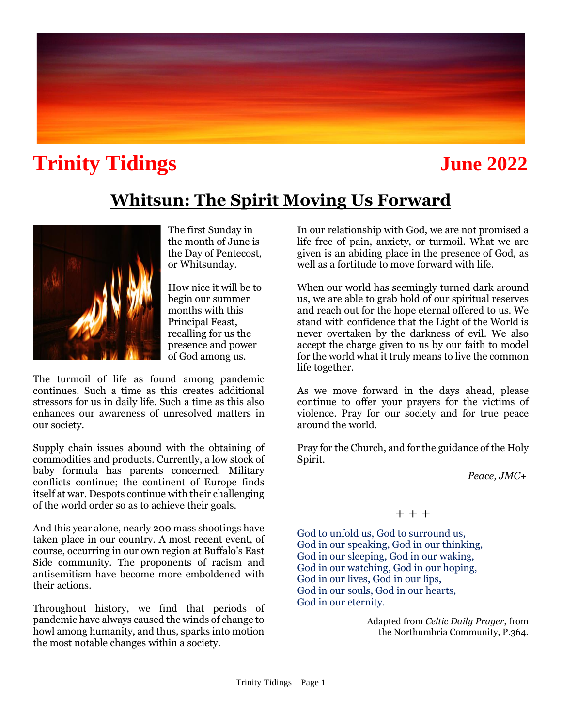# **Trinity Tidings June 2022**

# **Whitsun: The Spirit Moving Us Forward**



The first Sunday in the month of June is the Day of Pentecost, or Whitsunday.

How nice it will be to begin our summer months with this Principal Feast, recalling for us the presence and power of God among us.

The turmoil of life as found among pandemic continues. Such a time as this creates additional stressors for us in daily life. Such a time as this also enhances our awareness of unresolved matters in our society.

Supply chain issues abound with the obtaining of commodities and products. Currently, a low stock of baby formula has parents concerned. Military conflicts continue; the continent of Europe finds itself at war. Despots continue with their challenging of the world order so as to achieve their goals.

And this year alone, nearly 200 mass shootings have taken place in our country. A most recent event, of course, occurring in our own region at Buffalo's East Side community. The proponents of racism and antisemitism have become more emboldened with their actions.

Throughout history, we find that periods of pandemic have always caused the winds of change to howl among humanity, and thus, sparks into motion the most notable changes within a society.

In our relationship with God, we are not promised a life free of pain, anxiety, or turmoil. What we are given is an abiding place in the presence of God, as well as a fortitude to move forward with life.

When our world has seemingly turned dark around us, we are able to grab hold of our spiritual reserves and reach out for the hope eternal offered to us. We stand with confidence that the Light of the World is never overtaken by the darkness of evil. We also accept the charge given to us by our faith to model for the world what it truly means to live the common life together.

As we move forward in the days ahead, please continue to offer your prayers for the victims of violence. Pray for our society and for true peace around the world.

Pray for the Church, and for the guidance of the Holy Spirit.

 *Peace, JMC+*

### $+ + +$

God to unfold us, God to surround us, God in our speaking, God in our thinking, God in our sleeping, God in our waking, God in our watching, God in our hoping, God in our lives, God in our lips, God in our souls, God in our hearts, God in our eternity.

> Adapted from *Celtic Daily Prayer*, from the Northumbria Community, P.364.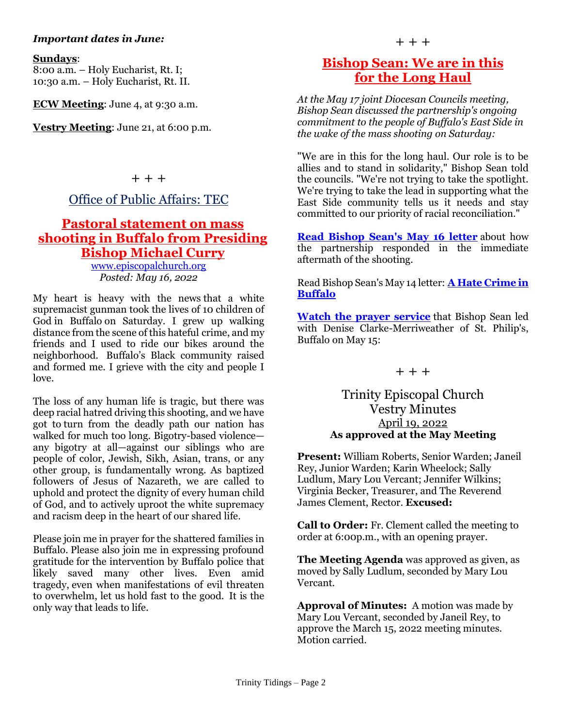#### *Important dates in June:*

#### **Sundays**:

8:00 a.m. – Holy Eucharist, Rt. I; 10:30 a.m. – Holy Eucharist, Rt. II.

**ECW Meeting**: June 4, at 9:30 a.m.

**Vestry Meeting**: June 21, at 6:00 p.m.

+ + +

### Office of Public Affairs: TEC

### **Pastoral statement on mass shooting in Buffalo from Presiding Bishop Michael Curry**

[www.episcopalchurch.org](http://www.episcopalchurch.org/)  *Posted: May 16, 2022*

My heart is heavy with the news that a white supremacist gunman took the lives of 10 children of God in Buffalo on Saturday. I grew up walking distance from the scene of this hateful crime, and my friends and I used to ride our bikes around the neighborhood. Buffalo's Black community raised and formed me. I grieve with the city and people I love.

The loss of any human life is tragic, but there was deep racial hatred driving this shooting, and we have got to turn from the deadly path our nation has walked for much too long. Bigotry-based violence any bigotry at all—against our siblings who are people of color, Jewish, Sikh, Asian, trans, or any other group, is fundamentally wrong. As baptized followers of Jesus of Nazareth, we are called to uphold and protect the dignity of every human child of God, and to actively uproot the white supremacy and racism deep in the heart of our shared life.

Please join me in prayer for the shattered families in Buffalo. Please also join me in expressing profound gratitude for the intervention by Buffalo police that likely saved many other lives. Even amid tragedy, even when manifestations of evil threaten to overwhelm, let us hold fast to the good. It is the only way that leads to life.

### **[Bishop Sean:](https://r20.rs6.net/tn.jsp?f=001lVEwL9-myZXP0Ypat1wUx90nY5Dw7AP6e-yLOfeBGjyAxYSLegqzsWe1HMrrazditZDZuHPsFwJkQ6v1Xs2R5qPNiSq21fSmoMz6f5Q4F5E1sL9YbtcVZdB1LxesTKk2DPaCPnjPscleolPq0SOv7WeIcRV8b_L0etwwiKr5IUNwaGqjldK-krpo9GM31E0181gXN1ams2OSzudBiA_c3VpRhmkybMkTyxtZ6xe681mmJiwwlPMh1A==&c=bdrrUlsZybk_y64L6KAUjBsxSS2oRraBOaEGScYDchh98yg9Pnq-pw==&ch=-Sv4cFf1Dr1FL_zw5qhibuhEYrNR0DcxeEcsCIWddzCEsXTUZFRf3g==) We are in this for the Long Haul**

*At the May 17 joint Diocesan Councils meeting, Bishop Sean discussed the partnership's ongoing commitment to the people of Buffalo's East Side in the wake of the mass shooting on Saturday:*

"We are in this for the long haul. Our role is to be allies and to stand in solidarity," Bishop Sean told the councils. "We're not trying to take the spotlight. We're trying to take the lead in supporting what the East Side community tells us it needs and stay committed to our priority of racial reconciliation."

**[Read Bishop Sean's May 16 letter](https://r20.rs6.net/tn.jsp?f=001lVEwL9-myZXP0Ypat1wUx90nY5Dw7AP6e-yLOfeBGjyAxYSLegqzsWe1HMrrazditZDZuHPsFwJkQ6v1Xs2R5qPNiSq21fSmoMz6f5Q4F5E1sL9YbtcVZdB1LxesTKk2DPaCPnjPscleolPq0SOv7WeIcRV8b_L0etwwiKr5IUNwaGqjldK-krpo9GM31E0181gXN1ams2OSzudBiA_c3VpRhmkybMkTyxtZ6xe681mmJiwwlPMh1A==&c=bdrrUlsZybk_y64L6KAUjBsxSS2oRraBOaEGScYDchh98yg9Pnq-pw==&ch=-Sv4cFf1Dr1FL_zw5qhibuhEYrNR0DcxeEcsCIWddzCEsXTUZFRf3g==)** about how the partnership responded in the immediate aftermath of the shooting.

Read Bishop Sean's May 14 letter: **[A Hate Crime in](https://r20.rs6.net/tn.jsp?f=001lVEwL9-myZXP0Ypat1wUx90nY5Dw7AP6e-yLOfeBGjyAxYSLegqzsVAoshmMxQmBfXExSEeXeJxAElql6ieX8PRSGw1xJb0o5eE8LQ9Dzc52A7B-RNVzU5oevTFDl16bs515U1WhkIthjsFILJkMXACels_RIIkZQbUM2w5MKRSwswzAOE-mvPGlouk0Ifi-_wwsyanRa58_NB8IDhpeMw==&c=bdrrUlsZybk_y64L6KAUjBsxSS2oRraBOaEGScYDchh98yg9Pnq-pw==&ch=-Sv4cFf1Dr1FL_zw5qhibuhEYrNR0DcxeEcsCIWddzCEsXTUZFRf3g==)  [Buffalo](https://r20.rs6.net/tn.jsp?f=001lVEwL9-myZXP0Ypat1wUx90nY5Dw7AP6e-yLOfeBGjyAxYSLegqzsVAoshmMxQmBfXExSEeXeJxAElql6ieX8PRSGw1xJb0o5eE8LQ9Dzc52A7B-RNVzU5oevTFDl16bs515U1WhkIthjsFILJkMXACels_RIIkZQbUM2w5MKRSwswzAOE-mvPGlouk0Ifi-_wwsyanRa58_NB8IDhpeMw==&c=bdrrUlsZybk_y64L6KAUjBsxSS2oRraBOaEGScYDchh98yg9Pnq-pw==&ch=-Sv4cFf1Dr1FL_zw5qhibuhEYrNR0DcxeEcsCIWddzCEsXTUZFRf3g==)**

**[Watch the prayer service](https://r20.rs6.net/tn.jsp?f=001lVEwL9-myZXP0Ypat1wUx90nY5Dw7AP6e-yLOfeBGjyAxYSLegqzsVt2CduABWXu_frrKHBmnCfAIbKUxUSHLnDssZZn6s_cHCMpNYt8oExHKD4DXSZYzUhRftouXLBRqCpkoFkQrE6NK20ML8J_cQ==&c=bdrrUlsZybk_y64L6KAUjBsxSS2oRraBOaEGScYDchh98yg9Pnq-pw==&ch=-Sv4cFf1Dr1FL_zw5qhibuhEYrNR0DcxeEcsCIWddzCEsXTUZFRf3g==)** that Bishop Sean led with Denise Clarke-Merriweather of St. Philip's, Buffalo on May 15:

 $+ + +$ 

### Trinity Episcopal Church Vestry Minutes April 19, 2022 **As approved at the May Meeting**

**Present:** William Roberts, Senior Warden; Janeil Rey, Junior Warden; Karin Wheelock; Sally Ludlum, Mary Lou Vercant; Jennifer Wilkins; Virginia Becker, Treasurer, and The Reverend James Clement, Rector. **Excused:**

**Call to Order:** Fr. Clement called the meeting to order at 6:00p.m., with an opening prayer.

**The Meeting Agenda** was approved as given, as moved by Sally Ludlum, seconded by Mary Lou Vercant.

**Approval of Minutes:** A motion was made by Mary Lou Vercant, seconded by Janeil Rey, to approve the March 15, 2022 meeting minutes. Motion carried.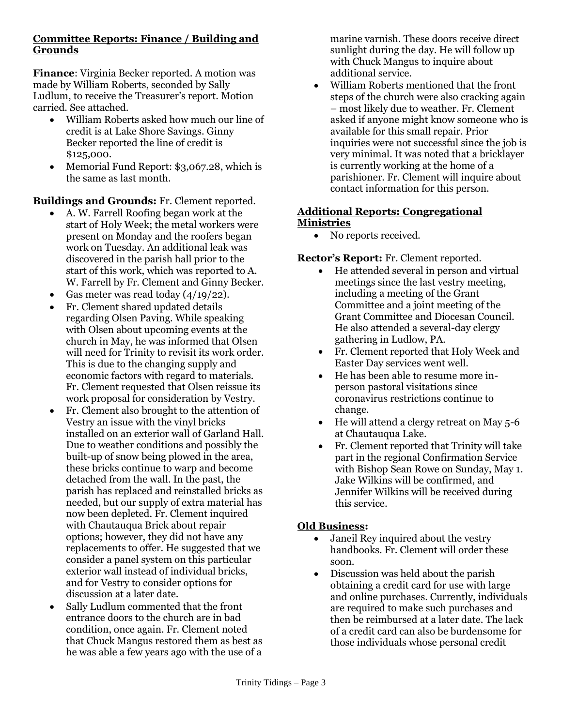### **Committee Reports: Finance / Building and Grounds**

**Finance**: Virginia Becker reported. A motion was made by William Roberts, seconded by Sally Ludlum, to receive the Treasurer's report. Motion carried. See attached.

- William Roberts asked how much our line of credit is at Lake Shore Savings. Ginny Becker reported the line of credit is \$125,000.
- Memorial Fund Report: \$3,067.28, which is the same as last month.

**Buildings and Grounds:** Fr. Clement reported.

- A. W. Farrell Roofing began work at the start of Holy Week; the metal workers were present on Monday and the roofers began work on Tuesday. An additional leak was discovered in the parish hall prior to the start of this work, which was reported to A. W. Farrell by Fr. Clement and Ginny Becker.
- Gas meter was read today  $(4/19/22)$ .
- Fr. Clement shared updated details regarding Olsen Paving. While speaking with Olsen about upcoming events at the church in May, he was informed that Olsen will need for Trinity to revisit its work order. This is due to the changing supply and economic factors with regard to materials. Fr. Clement requested that Olsen reissue its work proposal for consideration by Vestry.
- Fr. Clement also brought to the attention of Vestry an issue with the vinyl bricks installed on an exterior wall of Garland Hall. Due to weather conditions and possibly the built-up of snow being plowed in the area, these bricks continue to warp and become detached from the wall. In the past, the parish has replaced and reinstalled bricks as needed, but our supply of extra material has now been depleted. Fr. Clement inquired with Chautauqua Brick about repair options; however, they did not have any replacements to offer. He suggested that we consider a panel system on this particular exterior wall instead of individual bricks, and for Vestry to consider options for discussion at a later date.
- Sally Ludlum commented that the front entrance doors to the church are in bad condition, once again. Fr. Clement noted that Chuck Mangus restored them as best as he was able a few years ago with the use of a

marine varnish. These doors receive direct sunlight during the day. He will follow up with Chuck Mangus to inquire about additional service.

• William Roberts mentioned that the front steps of the church were also cracking again – most likely due to weather. Fr. Clement asked if anyone might know someone who is available for this small repair. Prior inquiries were not successful since the job is very minimal. It was noted that a bricklayer is currently working at the home of a parishioner. Fr. Clement will inquire about contact information for this person.

### **Additional Reports: Congregational Ministries**

• No reports received.

### **Rector's Report:** Fr. Clement reported.

- He attended several in person and virtual meetings since the last vestry meeting, including a meeting of the Grant Committee and a joint meeting of the Grant Committee and Diocesan Council. He also attended a several-day clergy gathering in Ludlow, PA.
- Fr. Clement reported that Holy Week and Easter Day services went well.
- He has been able to resume more inperson pastoral visitations since coronavirus restrictions continue to change.
- He will attend a clergy retreat on May 5-6 at Chautauqua Lake.
- Fr. Clement reported that Trinity will take part in the regional Confirmation Service with Bishop Sean Rowe on Sunday, May 1. Jake Wilkins will be confirmed, and Jennifer Wilkins will be received during this service.

### **Old Business:**

- Janeil Rey inquired about the vestry handbooks. Fr. Clement will order these soon.
- Discussion was held about the parish obtaining a credit card for use with large and online purchases. Currently, individuals are required to make such purchases and then be reimbursed at a later date. The lack of a credit card can also be burdensome for those individuals whose personal credit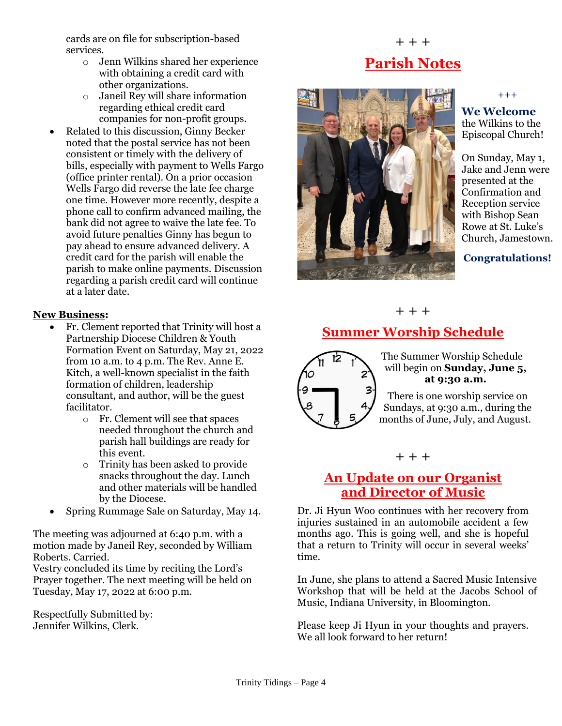cards are on file for subscription-based services.

- o Jenn Wilkins shared her experience with obtaining a credit card with other organizations.
- o Janeil Rey will share information regarding ethical credit card companies for non-profit groups.
- Related to this discussion, Ginny Becker noted that the postal service has not been consistent or timely with the delivery of bills, especially with payment to Wells Fargo (office printer rental). On a prior occasion Wells Fargo did reverse the late fee charge one time. However more recently, despite a phone call to confirm advanced mailing, the bank did not agree to waive the late fee. To avoid future penalties Ginny has begun to pay ahead to ensure advanced delivery. A credit card for the parish will enable the parish to make online payments. Discussion regarding a parish credit card will continue at a later date.

### **New Business:**

- Fr. Clement reported that Trinity will host a Partnership Diocese Children & Youth Formation Event on Saturday, May 21, 2022 from 10 a.m. to 4 p.m. The Rev. Anne E. Kitch, a well-known specialist in the faith formation of children, leadership consultant, and author, will be the guest facilitator.
	- o Fr. Clement will see that spaces needed throughout the church and parish hall buildings are ready for this event.
	- o Trinity has been asked to provide snacks throughout the day. Lunch and other materials will be handled by the Diocese.
- Spring Rummage Sale on Saturday, May 14.

The meeting was adjourned at 6:40 p.m. with a motion made by Janeil Rey, seconded by William Roberts. Carried.

Vestry concluded its time by reciting the Lord's Prayer together. The next meeting will be held on Tuesday, May 17, 2022 at 6:00 p.m.

Respectfully Submitted by: Jennifer Wilkins, Clerk.

# **Parish Notes**

+ + +



 $+++$ 

**We Welcome** the Wilkins to the Episcopal Church!

On Sunday, May 1, Jake and Jenn were presented at the Confirmation and Reception service with Bishop Sean Rowe at St. Luke's Church, Jamestown.

**Congratulations!**

+ + +

## **Summer Worship Schedule**



The Summer Worship Schedule will begin on **Sunday, June 5, at 9:30 a.m.**

There is one worship service on Sundays, at 9:30 a.m., during the months of June, July, and August.

#### + + +

### **An Update on our Organist and Director of Music**

Dr. Ji Hyun Woo continues with her recovery from injuries sustained in an automobile accident a few months ago. This is going well, and she is hopeful that a return to Trinity will occur in several weeks' time.

In June, she plans to attend a Sacred Music Intensive Workshop that will be held at the Jacobs School of Music, Indiana University, in Bloomington.

Please keep Ji Hyun in your thoughts and prayers. We all look forward to her return!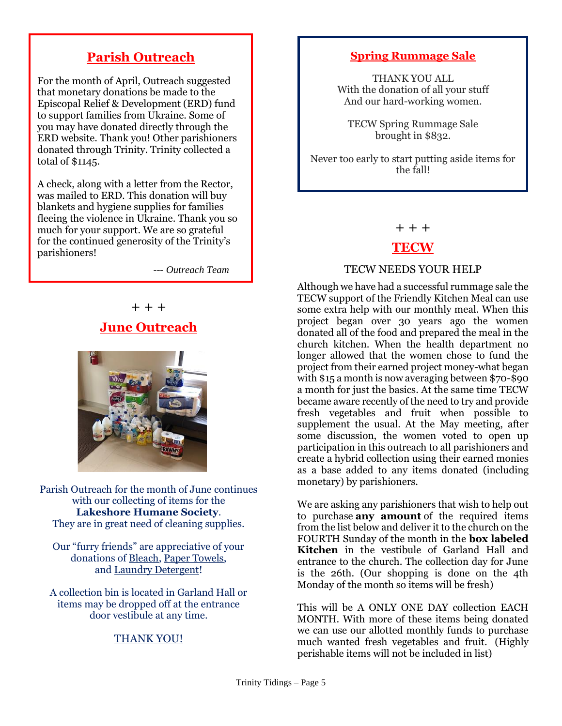### **Parish Outreach**

For the month of April, Outreach suggested that monetary donations be made to the Episcopal Relief & Development (ERD) fund to support families from Ukraine. Some of you may have donated directly through the ERD website. Thank you! Other parishioners donated through Trinity. Trinity collected a total of \$1145.

A check, along with a letter from the Rector, was mailed to ERD. This donation will buy blankets and hygiene supplies for families fleeing the violence in Ukraine. Thank you so much for your support. We are so grateful for the continued generosity of the Trinity's parishioners! j

 *--- Outreach Team*

+ + +

### **June Outreach**



Parish Outreach for the month of June continues with our collecting of items for the **Lakeshore Humane Society**. They are in great need of cleaning supplies.

Our "furry friends" are appreciative of your donations of Bleach, Paper Towels, and Laundry Detergent!

A collection bin is located in Garland Hall or items may be dropped off at the entrance door vestibule at any time.

### THANK YOU!

### **Spring Rummage Sale**

THANK YOU ALL With the donation of all your stuff And our hard-working women.

TECW Spring Rummage Sale brought in \$832.

Never too early to start putting aside items for the fall!

+ + +

### **TECW**

#### TECW NEEDS YOUR HELP

Although we have had a successful rummage sale the TECW support of the Friendly Kitchen Meal can use some extra help with our monthly meal. When this project began over 30 years ago the women donated all of the food and prepared the meal in the church kitchen. When the health department no longer allowed that the women chose to fund the project from their earned project money-what began with \$15 a month is now averaging between \$70-\$90 a month for just the basics. At the same time TECW became aware recently of the need to try and provide fresh vegetables and fruit when possible to supplement the usual. At the May meeting, after some discussion, the women voted to open up participation in this outreach to all parishioners and create a hybrid collection using their earned monies as a base added to any items donated (including monetary) by parishioners.

We are asking any parishioners that wish to help out to purchase **any amount** of the required items from the list below and deliver it to the church on the FOURTH Sunday of the month in the **box labeled Kitchen** in the vestibule of Garland Hall and entrance to the church. The collection day for June is the 26th. (Our shopping is done on the 4th Monday of the month so items will be fresh)

This will be A ONLY ONE DAY collection EACH MONTH. With more of these items being donated we can use our allotted monthly funds to purchase much wanted fresh vegetables and fruit. (Highly perishable items will not be included in list)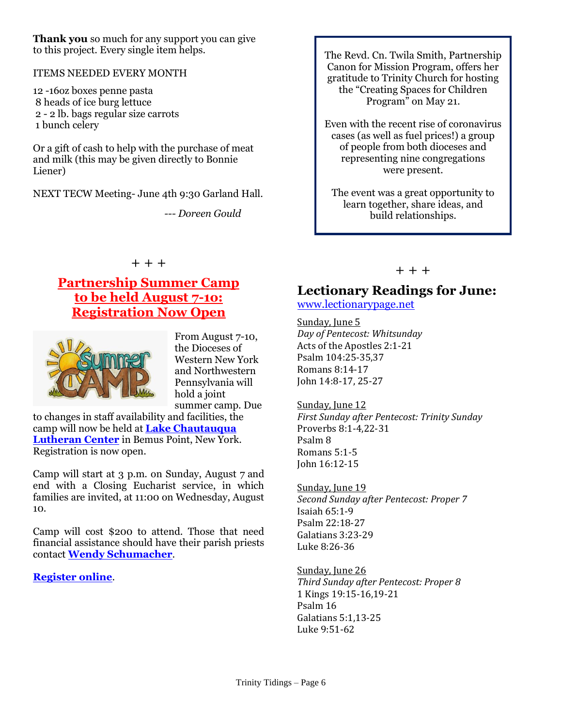**Thank you** so much for any support you can give to this project. Every single item helps.

#### ITEMS NEEDED EVERY MONTH

12 -16oz boxes penne pasta 8 heads of ice burg lettuce 2 - 2 lb. bags regular size carrots 1 bunch celery

Or a gift of cash to help with the purchase of meat and milk (this may be given directly to Bonnie Liener)

NEXT TECW Meeting- June 4th 9:30 Garland Hall.

 *--- Doreen Gould*

The Revd. Cn. Twila Smith, Partnership Canon for Mission Program, offers her gratitude to Trinity Church for hosting the "Creating Spaces for Children Program" on May 21.

Even with the recent rise of coronavirus cases (as well as fuel prices!) a group of people from both dioceses and representing nine congregations were present.

The event was a great opportunity to learn together, share ideas, and build relationships.

### **Partnership Summer Camp to be held August 7-1o: Registration Now Open**

+ + +



From August 7-10, the Dioceses of Western New York and Northwestern Pennsylvania will hold a joint summer camp. Due

to changes in staff availability and facilities, the camp will now be held at **[Lake Chautauqua](https://r20.rs6.net/tn.jsp?f=001lVEwL9-myZXP0Ypat1wUx90nY5Dw7AP6e-yLOfeBGjyAxYSLegqzsSiwQzgvqJF2rcwQYtvvGkjTYeG8to9qLjSiuO85oEI4NGOTcsBtctYHo0WpC6Y5tL3xfS34DEW_AYT_OcZEHTWyNfkgtrqoDA==&c=bdrrUlsZybk_y64L6KAUjBsxSS2oRraBOaEGScYDchh98yg9Pnq-pw==&ch=-Sv4cFf1Dr1FL_zw5qhibuhEYrNR0DcxeEcsCIWddzCEsXTUZFRf3g==)  [Lutheran Center](https://r20.rs6.net/tn.jsp?f=001lVEwL9-myZXP0Ypat1wUx90nY5Dw7AP6e-yLOfeBGjyAxYSLegqzsSiwQzgvqJF2rcwQYtvvGkjTYeG8to9qLjSiuO85oEI4NGOTcsBtctYHo0WpC6Y5tL3xfS34DEW_AYT_OcZEHTWyNfkgtrqoDA==&c=bdrrUlsZybk_y64L6KAUjBsxSS2oRraBOaEGScYDchh98yg9Pnq-pw==&ch=-Sv4cFf1Dr1FL_zw5qhibuhEYrNR0DcxeEcsCIWddzCEsXTUZFRf3g==)** in Bemus Point, New York. Registration is now open.

Camp will start at 3 p.m. on Sunday, August 7 and end with a Closing Eucharist service, in which families are invited, at 11:00 on Wednesday, August 10.

Camp will cost \$200 to attend. Those that need financial assistance should have their parish priests contact **[Wendy Schumacher](https://r20.rs6.net/tn.jsp?f=001lVEwL9-myZXP0Ypat1wUx90nY5Dw7AP6e-yLOfeBGjyAxYSLegqzsWe1HMrrazdiTzOThJ_PSg2zFYWR-G9nsoIYiL7L6pS8t07EKe3vV0GhINw0TQg-T-aFYidi9LjlhVX4q4XzVzGUPvWXuRT1D8xZ-63KufoTQ3LmuRum4rE=&c=bdrrUlsZybk_y64L6KAUjBsxSS2oRraBOaEGScYDchh98yg9Pnq-pw==&ch=-Sv4cFf1Dr1FL_zw5qhibuhEYrNR0DcxeEcsCIWddzCEsXTUZFRf3g==)**.

#### **[Register online](https://r20.rs6.net/tn.jsp?f=001lVEwL9-myZXP0Ypat1wUx90nY5Dw7AP6e-yLOfeBGjyAxYSLegqzsWe1HMrrazdiu3yDLVWssm_BcOCBTXm-7edJC2bbn9-GpY3z9RZHDg73K8AbYdTgxdqA6T9nG-UVGhjwoaMOXhwA5RwagZqz7K9ZemHc569mZlC0aBkCIq4IDTwvvihKDLtQ7TDk3sDST7qVPzN5s61lfjP8f-sWjQ==&c=bdrrUlsZybk_y64L6KAUjBsxSS2oRraBOaEGScYDchh98yg9Pnq-pw==&ch=-Sv4cFf1Dr1FL_zw5qhibuhEYrNR0DcxeEcsCIWddzCEsXTUZFRf3g==)**.

#### $+ + +$

### **Lectionary Readings for June:**

#### [www.lectionarypage.net](http://www.lectionarypage.net/)

Sunday, June 5 *Day of Pentecost: Whitsunday* Acts of the Apostles 2:1-21 Psalm 104:25-35,37 Romans 8:14-17 John 14:8-17, 25-27

Sunday, June 12 *First Sunday after Pentecost: Trinity Sunday* Proverbs 8:1-4,22-31 Psalm 8 Romans 5:1-5 John 16:12-15

Sunday, June 19 *Second Sunday after Pentecost: Proper 7* Isaiah 65:1-9 Psalm 22:18-27 Galatians 3:23-29 Luke 8:26-36

Sunday, June 26 *Third Sunday after Pentecost: Proper 8* 1 Kings 19:15-16,19-21 Psalm 16 Galatians 5:1,13-25 Luke 9:51-62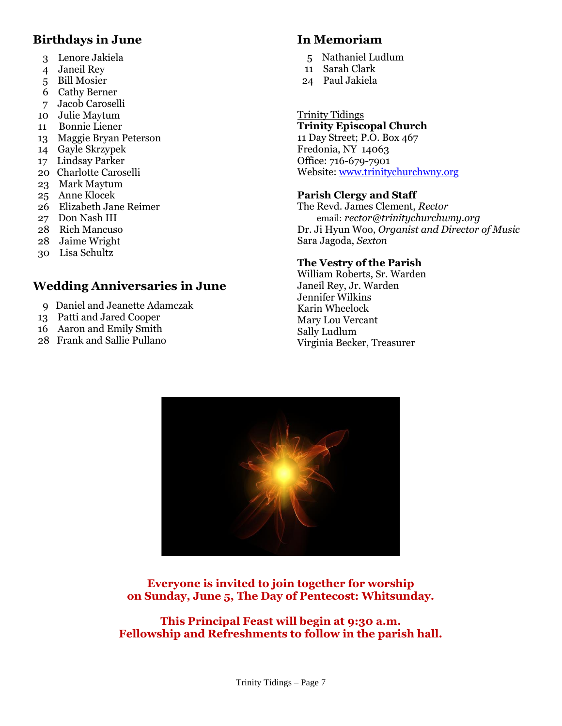### **Birthdays in June**

- 3 Lenore Jakiela
- 4 Janeil Rey
- 5 Bill Mosier
- 6 Cathy Berner
- 7 Jacob Caroselli
- 10 Julie Maytum 11 Bonnie Liener
- 13 Maggie Bryan Peterson
- 14 Gayle Skrzypek
- 17 Lindsay Parker
- 20 Charlotte Caroselli
- 23 Mark Maytum
- 25 Anne Klocek
- 26 Elizabeth Jane Reimer
- 27 Don Nash III
- 28 Rich Mancuso
- 28 Jaime Wright
- 30 Lisa Schultz

## **Wedding Anniversaries in June**

- 9 Daniel and Jeanette Adamczak
- 13 Patti and Jared Cooper
- 16 Aaron and Emily Smith
- 28 Frank and Sallie Pullano

### **In Memoriam**

- 5 Nathaniel Ludlum
- 11 Sarah Clark
- 24 Paul Jakiela

#### Trinity Tidings **Trinity Episcopal Church**

11 Day Street; P.O. Box 467 Fredonia, NY 14063 Office: 716-679-7901 Website: [www.trinitychurchwny.org](http://www.trinitychurchwny.org/)

### **Parish Clergy and Staff**

The Revd. James Clement, *Rector* email: *rector@trinitychurchwny.org* Dr. Ji Hyun Woo, *Organist and Director of Music* Sara Jagoda, *Sexton*

### **The Vestry of the Parish**

William Roberts, Sr. Warden Janeil Rey, Jr. Warden Jennifer Wilkins Karin Wheelock Mary Lou Vercant Sally Ludlum Virginia Becker, Treasurer



**Everyone is invited to join together for worship on Sunday, June 5, The Day of Pentecost: Whitsunday.**

**This Principal Feast will begin at 9:30 a.m. Fellowship and Refreshments to follow in the parish hall.**